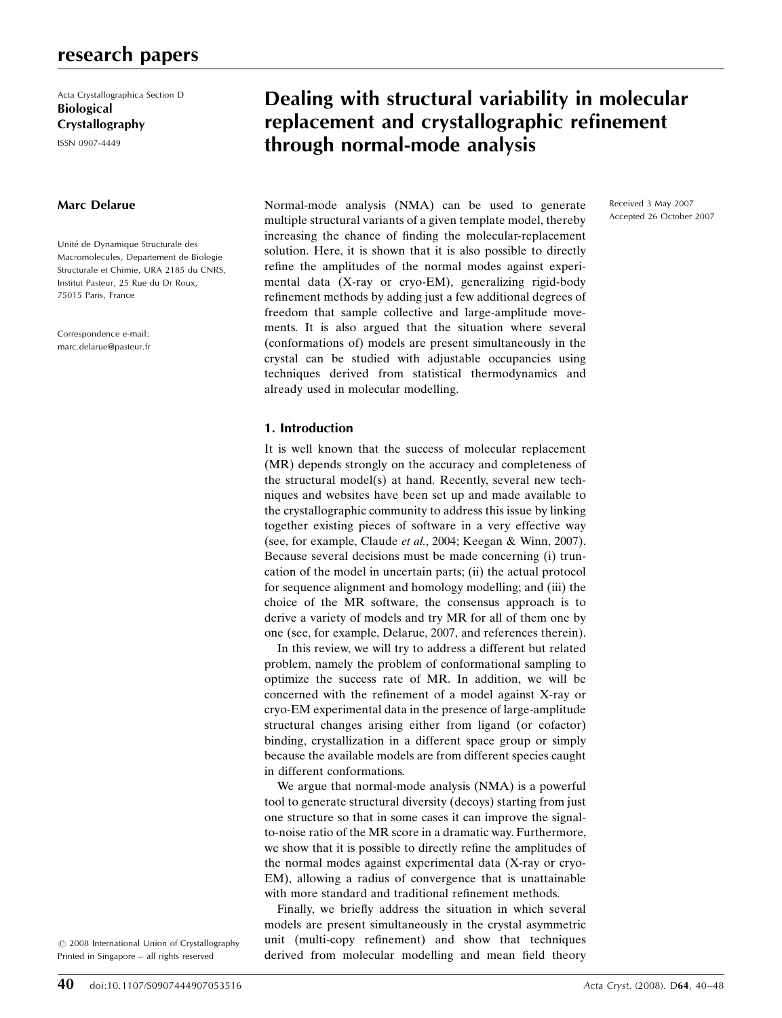# research papers

Acta Crystallographica Section D Biological Crystallography ISSN 0907-4449

#### Marc Delarue

Unité de Dynamique Structurale des Macromolecules, Departement de Biologie Structurale et Chimie, URA 2185 du CNRS, Institut Pasteur, 25 Rue du Dr Roux, 75015 Paris, France

Correspondence e-mail: marc.delarue@pasteur.fr

 $\odot$  2008 International Union of Crystallography Printed in Singapore – all rights reserved

# Dealing with structural variability in molecular replacement and crystallographic refinement through normal-mode analysis

Normal-mode analysis (NMA) can be used to generate multiple structural variants of a given template model, thereby increasing the chance of finding the molecular-replacement solution. Here, it is shown that it is also possible to directly refine the amplitudes of the normal modes against experimental data (X-ray or cryo-EM), generalizing rigid-body refinement methods by adding just a few additional degrees of freedom that sample collective and large-amplitude movements. It is also argued that the situation where several (conformations of) models are present simultaneously in the crystal can be studied with adjustable occupancies using techniques derived from statistical thermodynamics and already used in molecular modelling.

#### 1. Introduction

It is well known that the success of molecular replacement (MR) depends strongly on the accuracy and completeness of the structural model(s) at hand. Recently, several new techniques and websites have been set up and made available to the crystallographic community to address this issue by linking together existing pieces of software in a very effective way (see, for example, Claude et al., 2004; Keegan & Winn, 2007). Because several decisions must be made concerning (i) truncation of the model in uncertain parts; (ii) the actual protocol for sequence alignment and homology modelling; and (iii) the choice of the MR software, the consensus approach is to derive a variety of models and try MR for all of them one by one (see, for example, Delarue, 2007, and references therein).

In this review, we will try to address a different but related problem, namely the problem of conformational sampling to optimize the success rate of MR. In addition, we will be concerned with the refinement of a model against X-ray or cryo-EM experimental data in the presence of large-amplitude structural changes arising either from ligand (or cofactor) binding, crystallization in a different space group or simply because the available models are from different species caught in different conformations.

We argue that normal-mode analysis (NMA) is a powerful tool to generate structural diversity (decoys) starting from just one structure so that in some cases it can improve the signalto-noise ratio of the MR score in a dramatic way. Furthermore, we show that it is possible to directly refine the amplitudes of the normal modes against experimental data (X-ray or cryo-EM), allowing a radius of convergence that is unattainable with more standard and traditional refinement methods.

Finally, we briefly address the situation in which several models are present simultaneously in the crystal asymmetric unit (multi-copy refinement) and show that techniques derived from molecular modelling and mean field theory Received 3 May 2007 Accepted 26 October 2007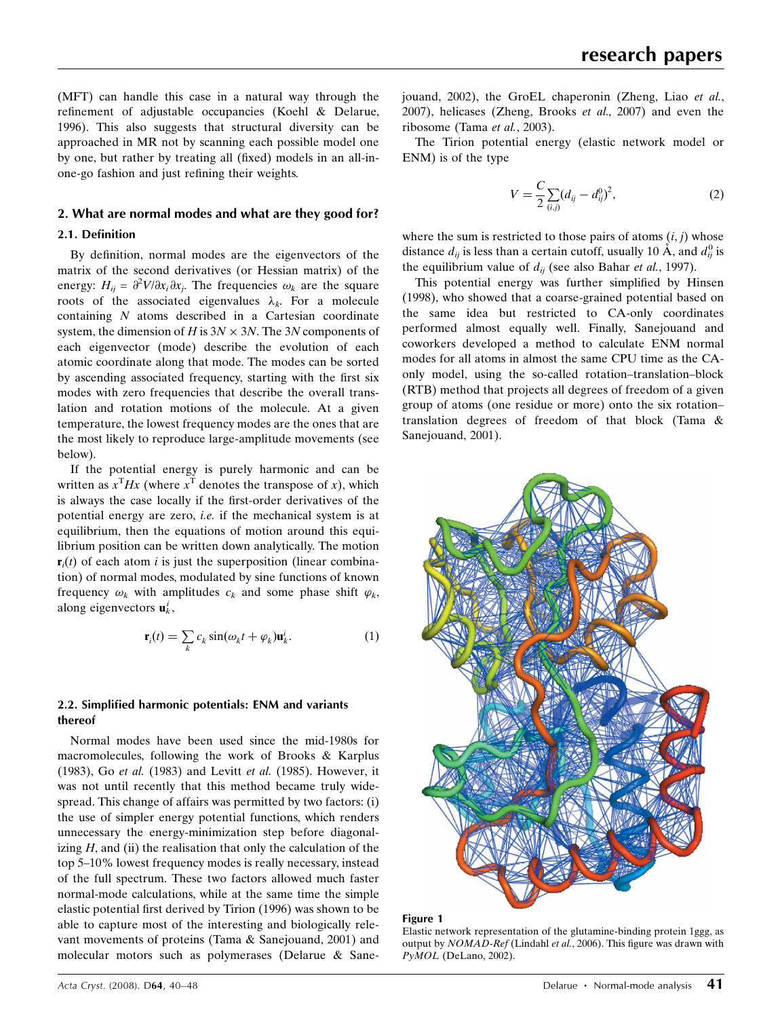(MFT) can handle this case in a natural way through the refinement of adjustable occupancies (Koehl & Delarue, 1996). This also suggests that structural diversity can be approached in MR not by scanning each possible model one by one, but rather by treating all (fixed) models in an all-inone-go fashion and just refining their weights.

#### 2. What are normal modes and what are they good for?

#### 2.1. Definition

By definition, normal modes are the eigenvectors of the matrix of the second derivatives (or Hessian matrix) of the energy:  $H_{ij} = \frac{\partial^2 V}{\partial x_i \partial x_j}$ . The frequencies  $\omega_k$  are the square roots of the associated eigenvalues  $\lambda_k$ . For a molecule containing N atoms described in a Cartesian coordinate system, the dimension of H is  $3N \times 3N$ . The 3N components of each eigenvector (mode) describe the evolution of each atomic coordinate along that mode. The modes can be sorted by ascending associated frequency, starting with the first six modes with zero frequencies that describe the overall translation and rotation motions of the molecule. At a given temperature, the lowest frequency modes are the ones that are the most likely to reproduce large-amplitude movements (see below).

If the potential energy is purely harmonic and can be written as  $x^T H x$  (where  $x^T$  denotes the transpose of x), which is always the case locally if the first-order derivatives of the potential energy are zero, i.e. if the mechanical system is at equilibrium, then the equations of motion around this equilibrium position can be written down analytically. The motion  $\mathbf{r}_i(t)$  of each atom *i* is just the superposition (linear combination) of normal modes, modulated by sine functions of known frequency  $\omega_k$  with amplitudes  $c_k$  and some phase shift  $\varphi_k$ , along eigenvectors  $\mathbf{u}_k^i$ ,

$$
\mathbf{r}_i(t) = \sum_k c_k \sin(\omega_k t + \varphi_k) \mathbf{u}_k^i.
$$
 (1)

#### 2.2. Simplified harmonic potentials: ENM and variants thereof

Normal modes have been used since the mid-1980s for macromolecules, following the work of Brooks & Karplus (1983), Go et al. (1983) and Levitt et al. (1985). However, it was not until recently that this method became truly widespread. This change of affairs was permitted by two factors: (i) the use of simpler energy potential functions, which renders unnecessary the energy-minimization step before diagonalizing  $H$ , and (ii) the realisation that only the calculation of the top 5–10% lowest frequency modes is really necessary, instead of the full spectrum. These two factors allowed much faster normal-mode calculations, while at the same time the simple elastic potential first derived by Tirion (1996) was shown to be able to capture most of the interesting and biologically relevant movements of proteins (Tama & Sanejouand, 2001) and molecular motors such as polymerases (Delarue & Sanejouand, 2002), the GroEL chaperonin (Zheng, Liao et al., 2007), helicases (Zheng, Brooks et al., 2007) and even the ribosome (Tama et al., 2003).

The Tirion potential energy (elastic network model or ENM) is of the type

$$
V = \frac{C}{2} \sum_{(i,j)} (d_{ij} - d_{ij}^0)^2, \tag{2}
$$

where the sum is restricted to those pairs of atoms  $(i, j)$  whose distance  $d_{ij}$  is less than a certain cutoff, usually 10 Å, and  $d_{ij}^0$  is the equilibrium value of  $d_{ij}$  (see also Bahar et al., 1997).

This potential energy was further simplified by Hinsen (1998), who showed that a coarse-grained potential based on the same idea but restricted to CA-only coordinates performed almost equally well. Finally, Sanejouand and coworkers developed a method to calculate ENM normal modes for all atoms in almost the same CPU time as the CAonly model, using the so-called rotation–translation–block (RTB) method that projects all degrees of freedom of a given group of atoms (one residue or more) onto the six rotation– translation degrees of freedom of that block (Tama & Sanejouand, 2001).



#### Figure 1

Elastic network representation of the glutamine-binding protein 1ggg, as output by NOMAD-Ref (Lindahl et al., 2006). This figure was drawn with PyMOL (DeLano, 2002).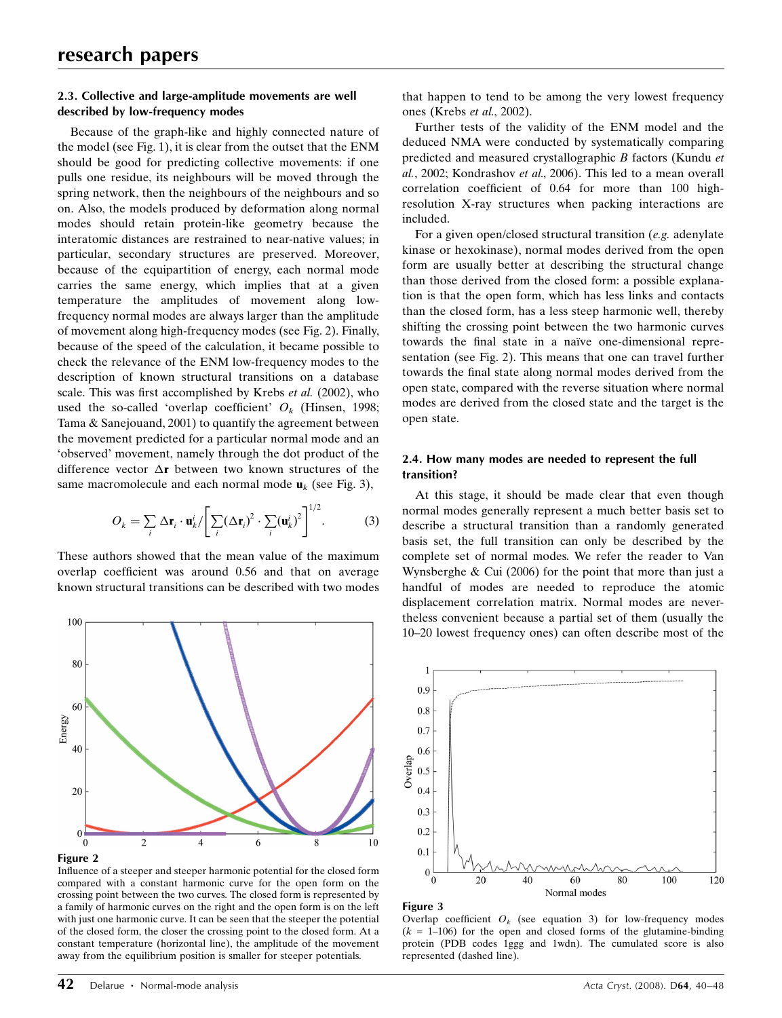#### 2.3. Collective and large-amplitude movements are well described by low-frequency modes

Because of the graph-like and highly connected nature of the model (see Fig. 1), it is clear from the outset that the ENM should be good for predicting collective movements: if one pulls one residue, its neighbours will be moved through the spring network, then the neighbours of the neighbours and so on. Also, the models produced by deformation along normal modes should retain protein-like geometry because the interatomic distances are restrained to near-native values; in particular, secondary structures are preserved. Moreover, because of the equipartition of energy, each normal mode carries the same energy, which implies that at a given temperature the amplitudes of movement along lowfrequency normal modes are always larger than the amplitude of movement along high-frequency modes (see Fig. 2). Finally, because of the speed of the calculation, it became possible to check the relevance of the ENM low-frequency modes to the description of known structural transitions on a database scale. This was first accomplished by Krebs et al. (2002), who used the so-called 'overlap coefficient'  $O_k$  (Hinsen, 1998; Tama & Sanejouand, 2001) to quantify the agreement between the movement predicted for a particular normal mode and an 'observed' movement, namely through the dot product of the difference vector  $\Delta r$  between two known structures of the same macromolecule and each normal mode  $\mathbf{u}_k$  (see Fig. 3),

$$
O_k = \sum_i \Delta \mathbf{r}_i \cdot \mathbf{u}_k^i / \left[ \sum_i (\Delta \mathbf{r}_i)^2 \cdot \sum_i (\mathbf{u}_k^i)^2 \right]^{1/2}.
$$
 (3)

These authors showed that the mean value of the maximum overlap coefficient was around 0.56 and that on average known structural transitions can be described with two modes



#### Figure 2

Influence of a steeper and steeper harmonic potential for the closed form compared with a constant harmonic curve for the open form on the crossing point between the two curves. The closed form is represented by a family of harmonic curves on the right and the open form is on the left with just one harmonic curve. It can be seen that the steeper the potential of the closed form, the closer the crossing point to the closed form. At a constant temperature (horizontal line), the amplitude of the movement away from the equilibrium position is smaller for steeper potentials.

that happen to tend to be among the very lowest frequency ones (Krebs et al., 2002).

Further tests of the validity of the ENM model and the deduced NMA were conducted by systematically comparing predicted and measured crystallographic B factors (Kundu et al., 2002; Kondrashov et al., 2006). This led to a mean overall correlation coefficient of 0.64 for more than 100 highresolution X-ray structures when packing interactions are included.

For a given open/closed structural transition (e.g. adenylate kinase or hexokinase), normal modes derived from the open form are usually better at describing the structural change than those derived from the closed form: a possible explanation is that the open form, which has less links and contacts than the closed form, has a less steep harmonic well, thereby shifting the crossing point between the two harmonic curves towards the final state in a naïve one-dimensional representation (see Fig. 2). This means that one can travel further towards the final state along normal modes derived from the open state, compared with the reverse situation where normal modes are derived from the closed state and the target is the open state.

#### 2.4. How many modes are needed to represent the full transition?

At this stage, it should be made clear that even though normal modes generally represent a much better basis set to describe a structural transition than a randomly generated basis set, the full transition can only be described by the complete set of normal modes. We refer the reader to Van Wynsberghe & Cui (2006) for the point that more than just a handful of modes are needed to reproduce the atomic displacement correlation matrix. Normal modes are nevertheless convenient because a partial set of them (usually the 10–20 lowest frequency ones) can often describe most of the



#### Figure 3

Overlap coefficient  $O_k$  (see equation 3) for low-frequency modes  $(k = 1-106)$  for the open and closed forms of the glutamine-binding protein (PDB codes 1ggg and 1wdn). The cumulated score is also represented (dashed line).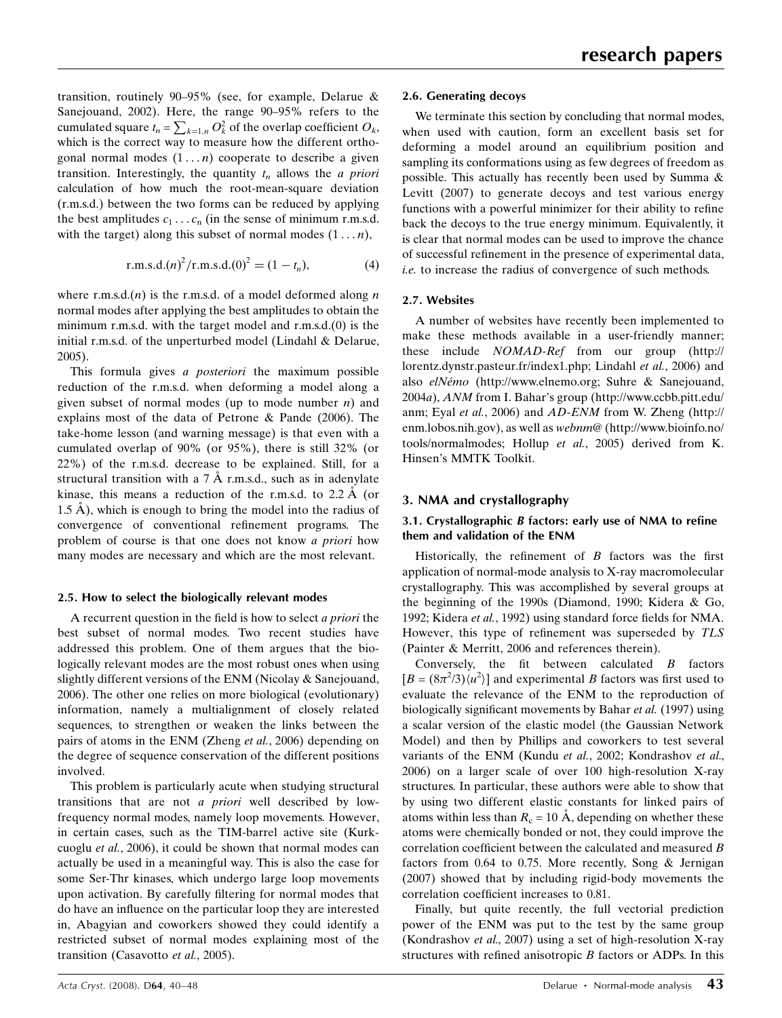transition, routinely 90–95% (see, for example, Delarue & Sanejouand, 2002). Here, the range 90–95% refers to the cumulated square  $t_n = \sum_{k=1,n} O_k^2$  of the overlap coefficient  $O_k$ , which is the correct way to measure how the different orthogonal normal modes  $(1 \dots n)$  cooperate to describe a given transition. Interestingly, the quantity  $t_n$  allows the *a priori* calculation of how much the root-mean-square deviation (r.m.s.d.) between the two forms can be reduced by applying the best amplitudes  $c_1 \ldots c_n$  (in the sense of minimum r.m.s.d. with the target) along this subset of normal modes  $(1 \dots n)$ ,

r:m:s:d:ðnÞ 2 =r:m:s:d:ð0Þ <sup>2</sup> ¼ ð1 tnÞ; ð4Þ

where r.m.s.d. $(n)$  is the r.m.s.d. of a model deformed along n normal modes after applying the best amplitudes to obtain the minimum r.m.s.d. with the target model and r.m.s.d.(0) is the initial r.m.s.d. of the unperturbed model (Lindahl & Delarue, 2005).

This formula gives *a posteriori* the maximum possible reduction of the r.m.s.d. when deforming a model along a given subset of normal modes (up to mode number  $n$ ) and explains most of the data of Petrone & Pande (2006). The take-home lesson (and warning message) is that even with a cumulated overlap of 90% (or 95%), there is still 32% (or 22%) of the r.m.s.d. decrease to be explained. Still, for a structural transition with a  $7 \text{ Å}$  r.m.s.d., such as in adenylate kinase, this means a reduction of the r.m.s.d. to  $2.2 \text{ Å}$  (or  $1.5$  Å), which is enough to bring the model into the radius of convergence of conventional refinement programs. The problem of course is that one does not know a priori how many modes are necessary and which are the most relevant.

#### 2.5. How to select the biologically relevant modes

A recurrent question in the field is how to select a priori the best subset of normal modes. Two recent studies have addressed this problem. One of them argues that the biologically relevant modes are the most robust ones when using slightly different versions of the ENM (Nicolay & Sanejouand, 2006). The other one relies on more biological (evolutionary) information, namely a multialignment of closely related sequences, to strengthen or weaken the links between the pairs of atoms in the ENM (Zheng et al., 2006) depending on the degree of sequence conservation of the different positions involved.

This problem is particularly acute when studying structural transitions that are not a priori well described by lowfrequency normal modes, namely loop movements. However, in certain cases, such as the TIM-barrel active site (Kurkcuoglu et al., 2006), it could be shown that normal modes can actually be used in a meaningful way. This is also the case for some Ser-Thr kinases, which undergo large loop movements upon activation. By carefully filtering for normal modes that do have an influence on the particular loop they are interested in, Abagyian and coworkers showed they could identify a restricted subset of normal modes explaining most of the transition (Casavotto et al., 2005).

#### 2.6. Generating decoys

We terminate this section by concluding that normal modes, when used with caution, form an excellent basis set for deforming a model around an equilibrium position and sampling its conformations using as few degrees of freedom as possible. This actually has recently been used by Summa & Levitt (2007) to generate decoys and test various energy functions with a powerful minimizer for their ability to refine back the decoys to the true energy minimum. Equivalently, it is clear that normal modes can be used to improve the chance of successful refinement in the presence of experimental data, i.e. to increase the radius of convergence of such methods.

#### 2.7. Websites

A number of websites have recently been implemented to make these methods available in a user-friendly manner; these include NOMAD-Ref from our group (http:// lorentz.dynstr.pasteur.fr/index1.php; Lindahl et al., 2006) and also elNémo (http://www.elnemo.org; Suhre & Sanejouand, 2004a), ANM from I. Bahar's group (http://www.ccbb.pitt.edu/ anm; Eyal et al., 2006) and AD-ENM from W. Zheng (http:// enm.lobos.nih.gov), as well as webnm@ (http://www.bioinfo.no/ tools/normalmodes; Hollup et al., 2005) derived from K. Hinsen's MMTK Toolkit.

### 3. NMA and crystallography

### 3.1. Crystallographic *B* factors: early use of NMA to refine them and validation of the ENM

Historically, the refinement of  $B$  factors was the first application of normal-mode analysis to X-ray macromolecular crystallography. This was accomplished by several groups at the beginning of the 1990s (Diamond, 1990; Kidera & Go, 1992; Kidera et al., 1992) using standard force fields for NMA. However, this type of refinement was superseded by TLS (Painter & Merritt, 2006 and references therein).

Conversely, the fit between calculated  $B$  factors  $[B - (8\pi^2/3)\langle u^2 \rangle]$  and experimental B factors was first used to evaluate the relevance of the ENM to the reproduction of biologically significant movements by Bahar et al. (1997) using a scalar version of the elastic model (the Gaussian Network Model) and then by Phillips and coworkers to test several variants of the ENM (Kundu et al., 2002; Kondrashov et al., 2006) on a larger scale of over 100 high-resolution X-ray structures. In particular, these authors were able to show that by using two different elastic constants for linked pairs of atoms within less than  $R_c = 10 \text{ Å}$ , depending on whether these atoms were chemically bonded or not, they could improve the correlation coefficient between the calculated and measured B factors from 0.64 to 0.75. More recently, Song & Jernigan (2007) showed that by including rigid-body movements the correlation coefficient increases to 0.81.

Finally, but quite recently, the full vectorial prediction power of the ENM was put to the test by the same group (Kondrashov et al., 2007) using a set of high-resolution X-ray structures with refined anisotropic  $B$  factors or ADPs. In this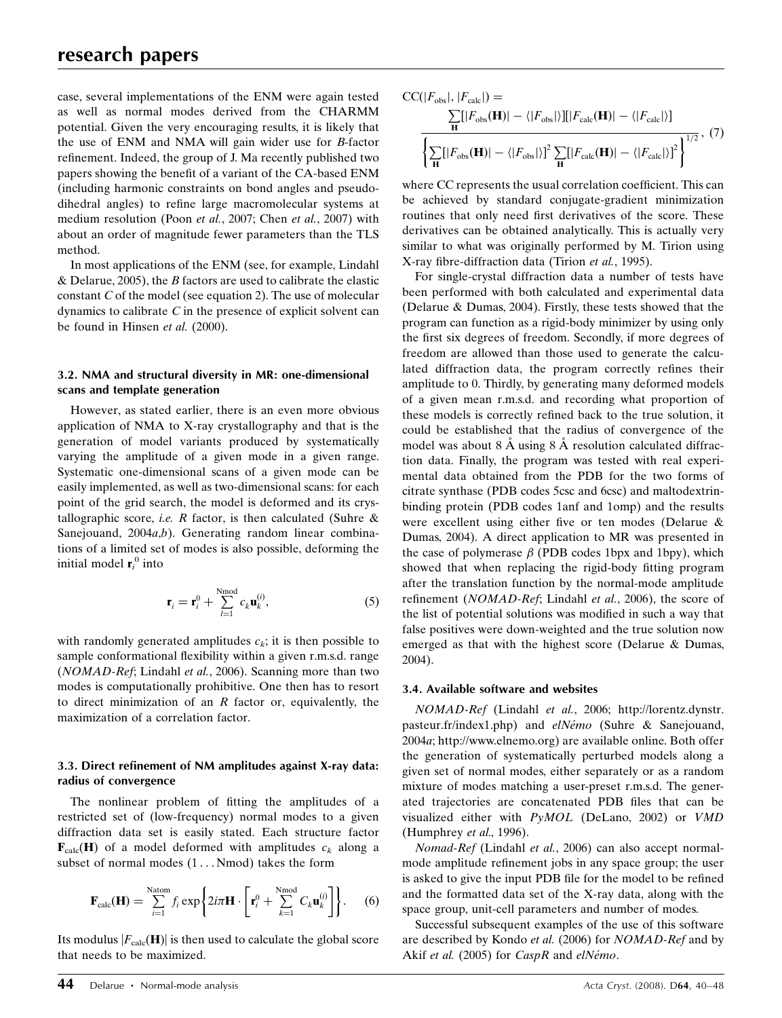case, several implementations of the ENM were again tested as well as normal modes derived from the CHARMM potential. Given the very encouraging results, it is likely that the use of ENM and NMA will gain wider use for B-factor refinement. Indeed, the group of J. Ma recently published two papers showing the benefit of a variant of the CA-based ENM (including harmonic constraints on bond angles and pseudodihedral angles) to refine large macromolecular systems at medium resolution (Poon et al., 2007; Chen et al., 2007) with about an order of magnitude fewer parameters than the TLS method.

In most applications of the ENM (see, for example, Lindahl  $&$  Delarue, 2005), the *B* factors are used to calibrate the elastic constant C of the model (see equation 2). The use of molecular dynamics to calibrate C in the presence of explicit solvent can be found in Hinsen et al. (2000).

### 3.2. NMA and structural diversity in MR: one-dimensional scans and template generation

However, as stated earlier, there is an even more obvious application of NMA to X-ray crystallography and that is the generation of model variants produced by systematically varying the amplitude of a given mode in a given range. Systematic one-dimensional scans of a given mode can be easily implemented, as well as two-dimensional scans: for each point of the grid search, the model is deformed and its crystallographic score, *i.e.*  $R$  factor, is then calculated (Suhre  $\&$ Sanejouand, 2004a,b). Generating random linear combinations of a limited set of modes is also possible, deforming the initial model  $\mathbf{r}_i^0$  into

$$
\mathbf{r}_{i} = \mathbf{r}_{i}^{0} + \sum_{l=1}^{N \text{mod}} c_{k} \mathbf{u}_{k}^{(i)},
$$
\n(5)

with randomly generated amplitudes  $c_k$ ; it is then possible to sample conformational flexibility within a given r.m.s.d. range (NOMAD-Ref; Lindahl et al., 2006). Scanning more than two modes is computationally prohibitive. One then has to resort to direct minimization of an  $R$  factor or, equivalently, the maximization of a correlation factor.

### 3.3. Direct refinement of NM amplitudes against X-ray data: radius of convergence

The nonlinear problem of fitting the amplitudes of a restricted set of (low-frequency) normal modes to a given diffraction data set is easily stated. Each structure factor  $\mathbf{F}_{\text{calc}}(\mathbf{H})$  of a model deformed with amplitudes  $c_k$  along a subset of normal modes (1 ... Nmod) takes the form

$$
\mathbf{F}_{\text{calc}}(\mathbf{H}) = \sum_{i=1}^{\text{Natom}} f_i \exp\left\{ 2i\pi \mathbf{H} \cdot \left[ \mathbf{r}_i^0 + \sum_{k=1}^{\text{Nmod}} C_k \mathbf{u}_k^{(i)} \right] \right\}.
$$
 (6)

Its modulus  $|F_{\text{calc}}(\mathbf{H})|$  is then used to calculate the global score that needs to be maximized.

$$
\text{CC}(|F_{\text{obs}}|, |F_{\text{calc}}|) = \frac{\sum_{\mathbf{H}} [|F_{\text{obs}}(\mathbf{H})| - \langle |F_{\text{obs}}| \rangle][|F_{\text{calc}}(\mathbf{H})| - \langle |F_{\text{calc}}| \rangle]}{\left\{ \sum_{\mathbf{H}} [|F_{\text{obs}}(\mathbf{H})| - \langle |F_{\text{obs}}| \rangle]^2 \sum_{\mathbf{H}} [|F_{\text{calc}}(\mathbf{H})| - \langle |F_{\text{calc}}| \rangle]^2 \right\}^{1/2}}, (7)
$$

where CC represents the usual correlation coefficient. This can be achieved by standard conjugate-gradient minimization routines that only need first derivatives of the score. These derivatives can be obtained analytically. This is actually very similar to what was originally performed by M. Tirion using X-ray fibre-diffraction data (Tirion et al., 1995).

For single-crystal diffraction data a number of tests have been performed with both calculated and experimental data (Delarue & Dumas, 2004). Firstly, these tests showed that the program can function as a rigid-body minimizer by using only the first six degrees of freedom. Secondly, if more degrees of freedom are allowed than those used to generate the calculated diffraction data, the program correctly refines their amplitude to 0. Thirdly, by generating many deformed models of a given mean r.m.s.d. and recording what proportion of these models is correctly refined back to the true solution, it could be established that the radius of convergence of the model was about  $8 \text{ Å}$  using  $8 \text{ Å}$  resolution calculated diffraction data. Finally, the program was tested with real experimental data obtained from the PDB for the two forms of citrate synthase (PDB codes 5csc and 6csc) and maltodextrinbinding protein (PDB codes 1anf and 1omp) and the results were excellent using either five or ten modes (Delarue & Dumas, 2004). A direct application to MR was presented in the case of polymerase  $\beta$  (PDB codes 1bpx and 1bpy), which showed that when replacing the rigid-body fitting program after the translation function by the normal-mode amplitude refinement (NOMAD-Ref; Lindahl et al., 2006), the score of the list of potential solutions was modified in such a way that false positives were down-weighted and the true solution now emerged as that with the highest score (Delarue & Dumas, 2004).

#### 3.4. Available software and websites

NOMAD-Ref (Lindahl et al., 2006; http://lorentz.dynstr. pasteur.fr/index1.php) and *elNémo* (Suhre & Sanejouand, 2004a; http://www.elnemo.org) are available online. Both offer the generation of systematically perturbed models along a given set of normal modes, either separately or as a random mixture of modes matching a user-preset r.m.s.d. The generated trajectories are concatenated PDB files that can be visualized either with PyMOL (DeLano, 2002) or VMD (Humphrey et al., 1996).

Nomad-Ref (Lindahl et al., 2006) can also accept normalmode amplitude refinement jobs in any space group; the user is asked to give the input PDB file for the model to be refined and the formatted data set of the X-ray data, along with the space group, unit-cell parameters and number of modes.

Successful subsequent examples of the use of this software are described by Kondo et al. (2006) for NOMAD-Ref and by Akif et al. (2005) for CaspR and elNémo.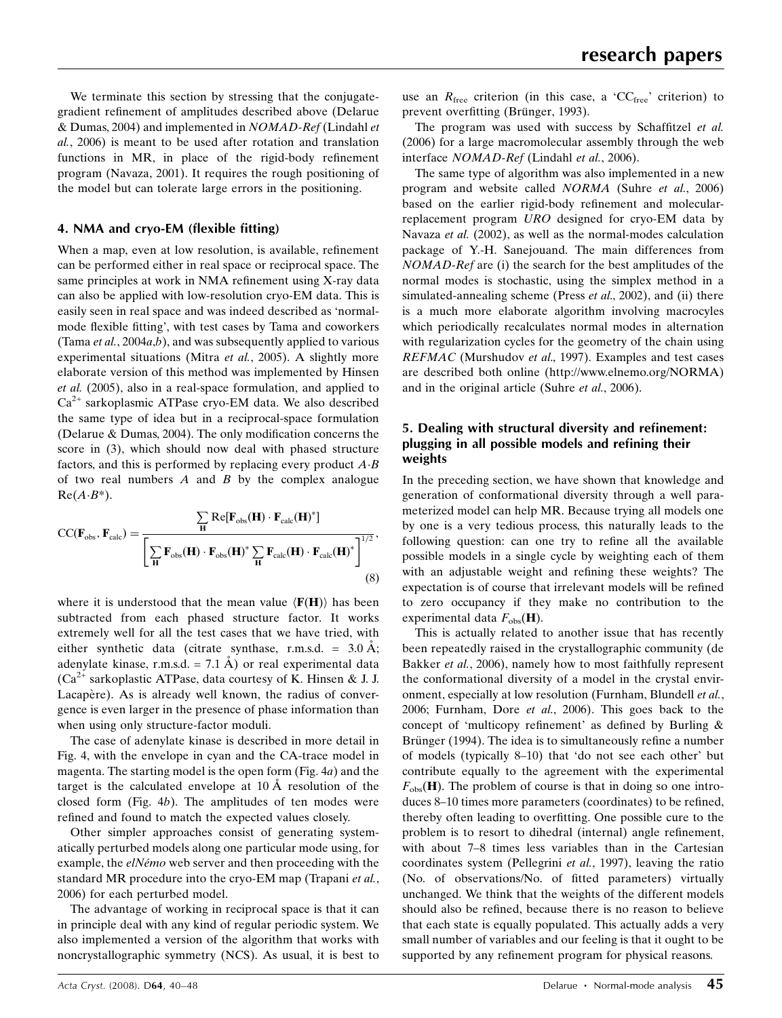We terminate this section by stressing that the conjugategradient refinement of amplitudes described above (Delarue & Dumas, 2004) and implemented in NOMAD-Ref (Lindahl et al., 2006) is meant to be used after rotation and translation functions in MR, in place of the rigid-body refinement program (Navaza, 2001). It requires the rough positioning of the model but can tolerate large errors in the positioning.

### 4. NMA and cryo-EM (flexible fitting)

When a map, even at low resolution, is available, refinement can be performed either in real space or reciprocal space. The same principles at work in NMA refinement using X-ray data can also be applied with low-resolution cryo-EM data. This is easily seen in real space and was indeed described as 'normalmode flexible fitting', with test cases by Tama and coworkers (Tama *et al.*, 2004*a*,*b*), and was subsequently applied to various experimental situations (Mitra et al., 2005). A slightly more elaborate version of this method was implemented by Hinsen et al. (2005), also in a real-space formulation, and applied to  $Ca<sup>2+</sup>$  sarkoplasmic ATPase cryo-EM data. We also described the same type of idea but in a reciprocal-space formulation (Delarue & Dumas, 2004). The only modification concerns the score in (3), which should now deal with phased structure factors, and this is performed by replacing every product  $A \cdot B$ of two real numbers  $A$  and  $B$  by the complex analogue  $Re(A \cdot B^*)$ .

$$
CC(\mathbf{F}_{obs}, \mathbf{F}_{calc}) = \frac{\sum_{\mathbf{H}} \text{Re}[\mathbf{F}_{obs}(\mathbf{H}) \cdot \mathbf{F}_{calc}(\mathbf{H})^{*}]}{\left[\sum_{\mathbf{H}} \mathbf{F}_{obs}(\mathbf{H}) \cdot \mathbf{F}_{obs}(\mathbf{H})^{*} \sum_{\mathbf{H}} \mathbf{F}_{calc}(\mathbf{H}) \cdot \mathbf{F}_{calc}(\mathbf{H})^{*}\right]^{1/2}},\tag{8}
$$

where it is understood that the mean value  $\langle \mathbf{F(H)} \rangle$  has been subtracted from each phased structure factor. It works extremely well for all the test cases that we have tried, with either synthetic data (citrate synthase, r.m.s.d. =  $3.0 \text{ Å}$ ; adenylate kinase, r.m.s.d. = 7.1  $\AA$ ) or real experimental data  $(Ca^{2+}$  sarkoplastic ATPase, data courtesy of K. Hinsen & J. J. Lacapère). As is already well known, the radius of convergence is even larger in the presence of phase information than when using only structure-factor moduli.

The case of adenylate kinase is described in more detail in Fig. 4, with the envelope in cyan and the CA-trace model in magenta. The starting model is the open form (Fig. 4a) and the target is the calculated envelope at  $10 \text{ Å}$  resolution of the closed form (Fig. 4b). The amplitudes of ten modes were refined and found to match the expected values closely.

Other simpler approaches consist of generating systematically perturbed models along one particular mode using, for example, the elNémo web server and then proceeding with the standard MR procedure into the cryo-EM map (Trapani et al., 2006) for each perturbed model.

The advantage of working in reciprocal space is that it can in principle deal with any kind of regular periodic system. We also implemented a version of the algorithm that works with noncrystallographic symmetry (NCS). As usual, it is best to

The program was used with success by Schaffitzel et al. (2006) for a large macromolecular assembly through the web interface NOMAD-Ref (Lindahl et al., 2006).

The same type of algorithm was also implemented in a new program and website called NORMA (Suhre et al., 2006) based on the earlier rigid-body refinement and molecularreplacement program URO designed for cryo-EM data by Navaza et al. (2002), as well as the normal-modes calculation package of Y.-H. Sanejouand. The main differences from NOMAD-Ref are (i) the search for the best amplitudes of the normal modes is stochastic, using the simplex method in a simulated-annealing scheme (Press et al., 2002), and (ii) there is a much more elaborate algorithm involving macrocyles which periodically recalculates normal modes in alternation with regularization cycles for the geometry of the chain using REFMAC (Murshudov et al., 1997). Examples and test cases are described both online (http://www.elnemo.org/NORMA) and in the original article (Suhre et al., 2006).

### 5. Dealing with structural diversity and refinement: plugging in all possible models and refining their weights

In the preceding section, we have shown that knowledge and generation of conformational diversity through a well parameterized model can help MR. Because trying all models one by one is a very tedious process, this naturally leads to the following question: can one try to refine all the available possible models in a single cycle by weighting each of them with an adjustable weight and refining these weights? The expectation is of course that irrelevant models will be refined to zero occupancy if they make no contribution to the experimental data  $F_{\text{obs}}(\mathbf{H})$ .

This is actually related to another issue that has recently been repeatedly raised in the crystallographic community (de Bakker et al., 2006), namely how to most faithfully represent the conformational diversity of a model in the crystal environment, especially at low resolution (Furnham, Blundell et al., 2006; Furnham, Dore et al., 2006). This goes back to the concept of 'multicopy refinement' as defined by Burling & Brünger (1994). The idea is to simultaneously refine a number of models (typically 8–10) that 'do not see each other' but contribute equally to the agreement with the experimental  $F_{obs}$ (H). The problem of course is that in doing so one introduces 8–10 times more parameters (coordinates) to be refined, thereby often leading to overfitting. One possible cure to the problem is to resort to dihedral (internal) angle refinement, with about 7–8 times less variables than in the Cartesian coordinates system (Pellegrini et al., 1997), leaving the ratio (No. of observations/No. of fitted parameters) virtually unchanged. We think that the weights of the different models should also be refined, because there is no reason to believe that each state is equally populated. This actually adds a very small number of variables and our feeling is that it ought to be supported by any refinement program for physical reasons.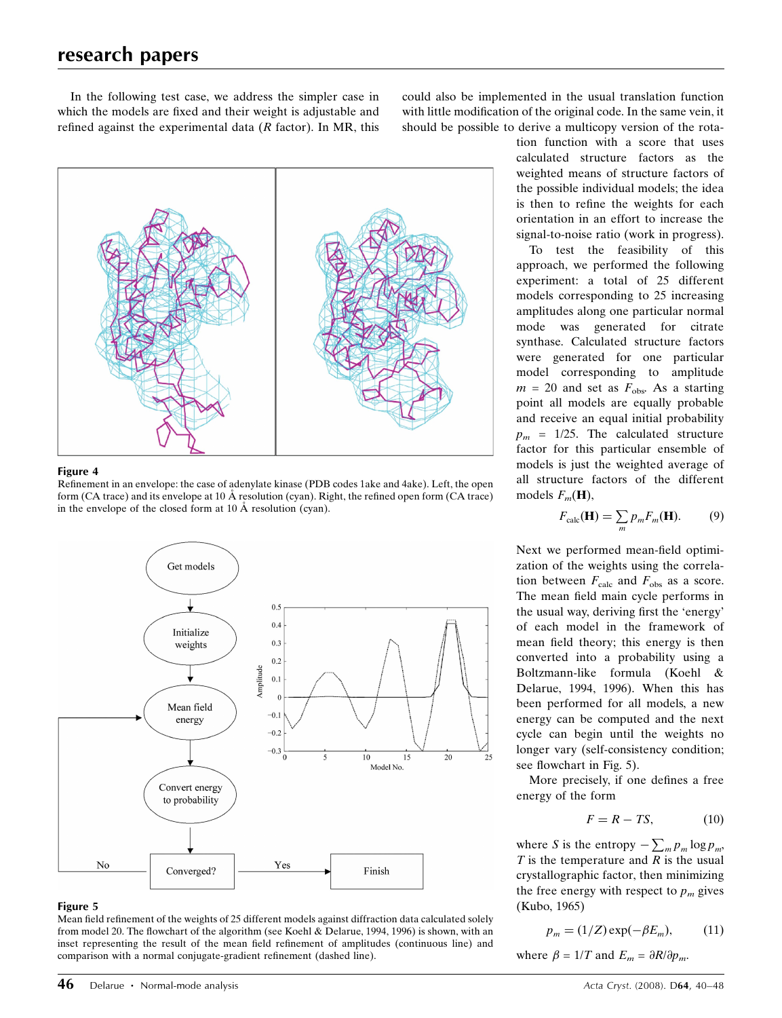## research papers

In the following test case, we address the simpler case in which the models are fixed and their weight is adjustable and refined against the experimental data  $(R \text{ factor})$ . In MR, this



#### Figure 4

Refinement in an envelope: the case of adenylate kinase (PDB codes 1ake and 4ake). Left, the open form (CA trace) and its envelope at 10  $\AA$  resolution (cyan). Right, the refined open form (CA trace) in the envelope of the closed form at  $10 \text{ Å}$  resolution (cyan).



#### Figure 5

Mean field refinement of the weights of 25 different models against diffraction data calculated solely from model 20. The flowchart of the algorithm (see Koehl & Delarue, 1994, 1996) is shown, with an inset representing the result of the mean field refinement of amplitudes (continuous line) and comparison with a normal conjugate-gradient refinement (dashed line).

could also be implemented in the usual translation function with little modification of the original code. In the same vein, it should be possible to derive a multicopy version of the rota-

> tion function with a score that uses calculated structure factors as the weighted means of structure factors of the possible individual models; the idea is then to refine the weights for each orientation in an effort to increase the signal-to-noise ratio (work in progress).

> To test the feasibility of this approach, we performed the following experiment: a total of 25 different models corresponding to 25 increasing amplitudes along one particular normal mode was generated for citrate synthase. Calculated structure factors were generated for one particular model corresponding to amplitude  $m = 20$  and set as  $F_{\text{obs}}$ . As a starting point all models are equally probable and receive an equal initial probability  $p_m = 1/25$ . The calculated structure factor for this particular ensemble of models is just the weighted average of all structure factors of the different models  $F_m(\mathbf{H}),$

$$
F_{\text{calc}}(\mathbf{H}) = \sum_{m} p_{m} F_{m}(\mathbf{H}). \tag{9}
$$

Next we performed mean-field optimization of the weights using the correlation between  $F_{\text{calc}}$  and  $F_{\text{obs}}$  as a score. The mean field main cycle performs in the usual way, deriving first the 'energy' of each model in the framework of mean field theory; this energy is then converted into a probability using a Boltzmann-like formula (Koehl & Delarue, 1994, 1996). When this has been performed for all models, a new energy can be computed and the next cycle can begin until the weights no longer vary (self-consistency condition; see flowchart in Fig. 5).

More precisely, if one defines a free energy of the form

$$
F = R - TS,\t(10)
$$

where S is the entropy  $-\sum_m p_m \log p_m$ ,  $T$  is the temperature and  $R$  is the usual crystallographic factor, then minimizing the free energy with respect to  $p_m$  gives (Kubo, 1965)

$$
p_m = (1/Z) \exp(-\beta E_m), \qquad (11)
$$

where  $\beta = 1/T$  and  $E_m = \partial R/\partial p_m$ .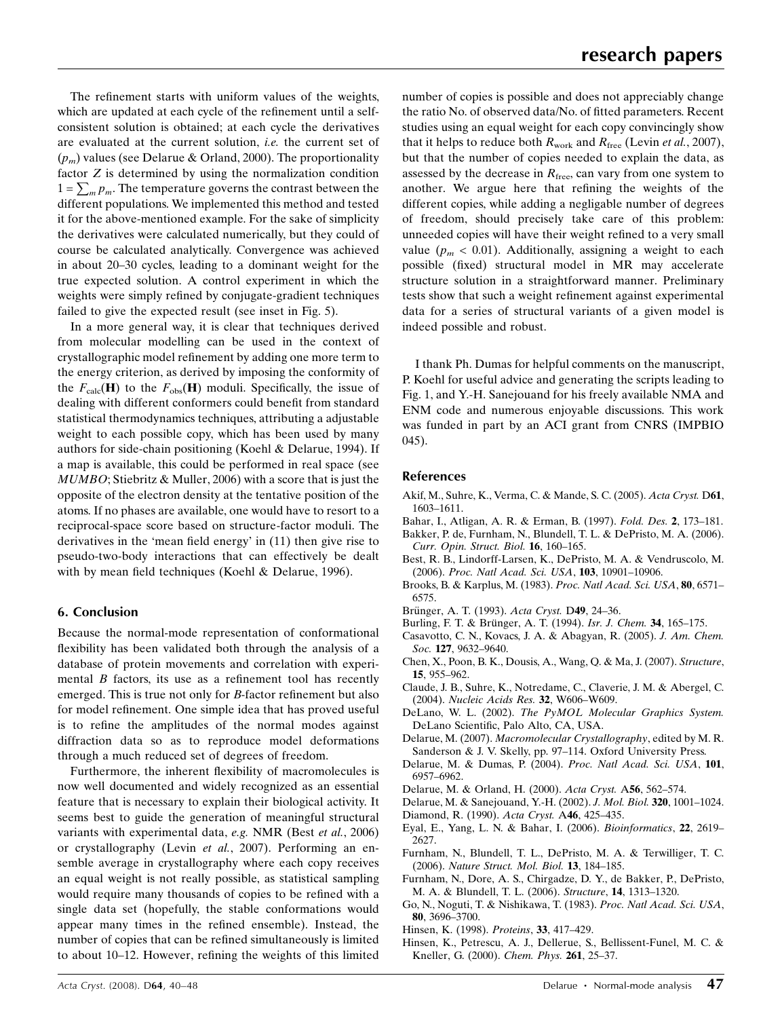The refinement starts with uniform values of the weights, which are updated at each cycle of the refinement until a selfconsistent solution is obtained; at each cycle the derivatives are evaluated at the current solution, *i.e.* the current set of  $(p_m)$  values (see Delarue & Orland, 2000). The proportionality factor Z is determined by using the normalization condition  $1 = \sum_{m} p_m$ . The temperature governs the contrast between the different populations. We implemented this method and tested it for the above-mentioned example. For the sake of simplicity the derivatives were calculated numerically, but they could of course be calculated analytically. Convergence was achieved in about 20–30 cycles, leading to a dominant weight for the true expected solution. A control experiment in which the weights were simply refined by conjugate-gradient techniques failed to give the expected result (see inset in Fig. 5).

In a more general way, it is clear that techniques derived from molecular modelling can be used in the context of crystallographic model refinement by adding one more term to the energy criterion, as derived by imposing the conformity of the  $F_{\text{calc}}(H)$  to the  $F_{\text{obs}}(H)$  moduli. Specifically, the issue of dealing with different conformers could benefit from standard statistical thermodynamics techniques, attributing a adjustable weight to each possible copy, which has been used by many authors for side-chain positioning (Koehl & Delarue, 1994). If a map is available, this could be performed in real space (see MUMBO; Stiebritz & Muller, 2006) with a score that is just the opposite of the electron density at the tentative position of the atoms. If no phases are available, one would have to resort to a reciprocal-space score based on structure-factor moduli. The derivatives in the 'mean field energy' in (11) then give rise to pseudo-two-body interactions that can effectively be dealt with by mean field techniques (Koehl & Delarue, 1996).

#### 6. Conclusion

Because the normal-mode representation of conformational flexibility has been validated both through the analysis of a database of protein movements and correlation with experimental  $B$  factors, its use as a refinement tool has recently emerged. This is true not only for B-factor refinement but also for model refinement. One simple idea that has proved useful is to refine the amplitudes of the normal modes against diffraction data so as to reproduce model deformations through a much reduced set of degrees of freedom.

Furthermore, the inherent flexibility of macromolecules is now well documented and widely recognized as an essential feature that is necessary to explain their biological activity. It seems best to guide the generation of meaningful structural variants with experimental data, e.g. NMR (Best et al., 2006) or crystallography (Levin et al., 2007). Performing an ensemble average in crystallography where each copy receives an equal weight is not really possible, as statistical sampling would require many thousands of copies to be refined with a single data set (hopefully, the stable conformations would appear many times in the refined ensemble). Instead, the number of copies that can be refined simultaneously is limited to about 10–12. However, refining the weights of this limited

number of copies is possible and does not appreciably change the ratio No. of observed data/No. of fitted parameters. Recent studies using an equal weight for each copy convincingly show that it helps to reduce both  $R_{work}$  and  $R_{free}$  (Levin et al., 2007), but that the number of copies needed to explain the data, as assessed by the decrease in  $R_{\text{free}}$ , can vary from one system to another. We argue here that refining the weights of the different copies, while adding a negligable number of degrees of freedom, should precisely take care of this problem: unneeded copies will have their weight refined to a very small value ( $p_m < 0.01$ ). Additionally, assigning a weight to each possible (fixed) structural model in MR may accelerate structure solution in a straightforward manner. Preliminary tests show that such a weight refinement against experimental data for a series of structural variants of a given model is indeed possible and robust.

I thank Ph. Dumas for helpful comments on the manuscript, P. Koehl for useful advice and generating the scripts leading to Fig. 1, and Y.-H. Sanejouand for his freely available NMA and ENM code and numerous enjoyable discussions. This work was funded in part by an ACI grant from CNRS (IMPBIO 045).

#### References

- Akif, M., Suhre, K., Verma, C. & Mande, S. C. (2005). Acta Cryst. D61, 1603–1611.
- Bahar, I., Atligan, A. R. & Erman, B. (1997). Fold. Des. 2, 173–181.
- Bakker, P. de, Furnham, N., Blundell, T. L. & DePristo, M. A. (2006). Curr. Opin. Struct. Biol. 16, 160–165.
- Best, R. B., Lindorff-Larsen, K., DePristo, M. A. & Vendruscolo, M. (2006). Proc. Natl Acad. Sci. USA, 103, 10901–10906.
- Brooks, B. & Karplus, M. (1983). Proc. Natl Acad. Sci. USA, 80, 6571– 6575.
- Brünger, A. T. (1993). Acta Cryst. D49, 24-36.
- Burling, F. T. & Brünger, A. T. (1994). Isr. J. Chem. 34, 165-175.
- Casavotto, C. N., Kovacs, J. A. & Abagyan, R. (2005). J. Am. Chem. Soc. 127, 9632–9640.
- Chen, X., Poon, B. K., Dousis, A., Wang, Q. & Ma, J. (2007). Structure, 15, 955–962.
- Claude, J. B., Suhre, K., Notredame, C., Claverie, J. M. & Abergel, C. (2004). Nucleic Acids Res. 32, W606–W609.
- DeLano, W. L. (2002). The PyMOL Molecular Graphics System. DeLano Scientific, Palo Alto, CA, USA.
- Delarue, M. (2007). Macromolecular Crystallography, edited by M. R. Sanderson & J. V. Skelly, pp. 97–114. Oxford University Press.
- Delarue, M. & Dumas, P. (2004). Proc. Natl Acad. Sci. USA, 101, 6957–6962.
- Delarue, M. & Orland, H. (2000). Acta Cryst. A56, 562–574.
- Delarue, M. & Sanejouand, Y.-H. (2002). J. Mol. Biol. 320, 1001–1024.
- Diamond, R. (1990). Acta Cryst. A46, 425–435.
- Eyal, E., Yang, L. N. & Bahar, I. (2006). Bioinformatics, 22, 2619– 2627.
- Furnham, N., Blundell, T. L., DePristo, M. A. & Terwilliger, T. C. (2006). Nature Struct. Mol. Biol. 13, 184–185.
- Furnham, N., Dore, A. S., Chirgadze, D. Y., de Bakker, P., DePristo, M. A. & Blundell, T. L. (2006). Structure, 14, 1313–1320.
- Go, N., Noguti, T. & Nishikawa, T. (1983). Proc. Natl Acad. Sci. USA, 80, 3696–3700.
- Hinsen, K. (1998). Proteins, 33, 417–429.
- Hinsen, K., Petrescu, A. J., Dellerue, S., Bellissent-Funel, M. C. & Kneller, G. (2000). Chem. Phys. 261, 25–37.